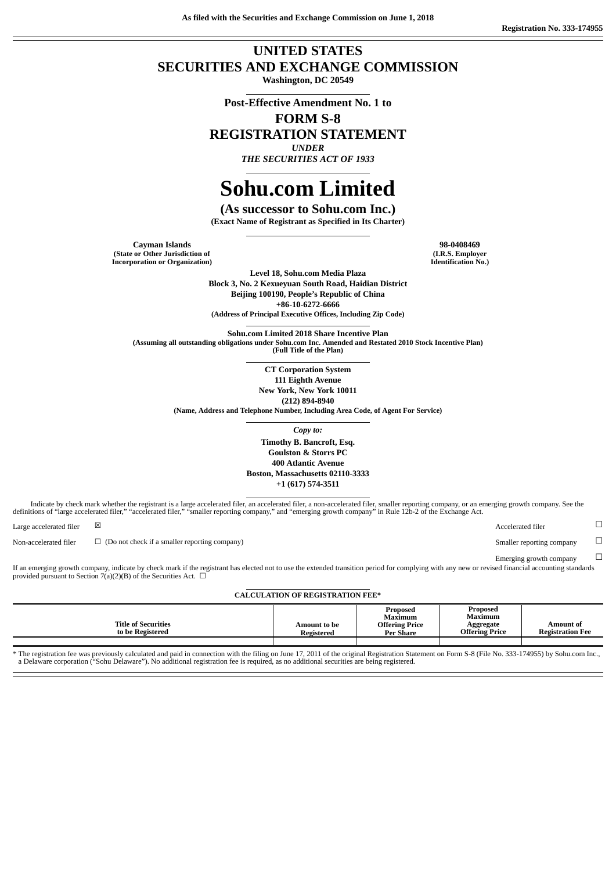**As filed with the Securities and Exchange Commission on June 1, 2018**

## **UNITED STATES SECURITIES AND EXCHANGE COMMISSION**

**Washington, DC 20549**

**Post-Effective Amendment No. 1 to**

**FORM S-8**

**REGISTRATION STATEMENT**

*UNDER THE SECURITIES ACT OF 1933*

# **Sohu.com Limited**

**(As successor to Sohu.com Inc.) (Exact Name of Registrant as Specified in Its Charter)**

**Cayman Islands 98-0408469 (State or Other Jurisdiction of Incorporation or Organization)**

**(I.R.S. Employer Identification No.)**

**Level 18, Sohu.com Media Plaza Block 3, No. 2 Kexueyuan South Road, Haidian District Beijing 100190, People's Republic of China +86-10-6272-6666 (Address of Principal Executive Offices, Including Zip Code)**

**Sohu.com Limited 2018 Share Incentive Plan (Assuming all outstanding obligations under Sohu.com Inc. Amended and Restated 2010 Stock Incentive Plan) (Full Title of the Plan)**

**CT Corporation System**

**111 Eighth Avenue New York, New York 10011**

**(212) 894-8940**

**(Name, Address and Telephone Number, Including Area Code, of Agent For Service)**

*Copy to:*

**Timothy B. Bancroft, Esq. Goulston & Storrs PC 400 Atlantic Avenue Boston, Massachusetts 02110-3333 +1 (617) 574-3511**

Indicate by check mark whether the registrant is a large accelerated filer, an accelerated filer, a non-accelerated filer, smaller reporting company, or an emerging growth company. See the definitions of "large accelerated filer," "accelerated filer," "smaller reporting company," and "emerging growth company" in Rule 12b-2 of the Exchange Act.

Non-accelerated filer □ (Do not check if a smaller reporting company) Smaller reporting company □

If an emerging growth company, indicate by check mark if the registrant has elected not to use the extended transition period for complying with any new or revised financial accounting standards provided pursuant to Section 7(a)(2)(B) of the Securities Act.  $\Box$ 

#### **CALCULATION OF REGISTRATION FEE\***

|                                                |                            | Proposed<br>Maximum                       | Proposed<br><b>Maximum</b>         |                                      |
|------------------------------------------------|----------------------------|-------------------------------------------|------------------------------------|--------------------------------------|
| <b>Title of Securities</b><br>to be Registered | Amount to be<br>Registered | <b>Offering Price</b><br><b>Per Share</b> | Aggregate<br><b>Offering Price</b> | Amount of<br><b>Registration Fee</b> |
|                                                |                            |                                           |                                    |                                      |

\* The registration fee was previously calculated and paid in connection with the filing on June 17, 2011 of the original Registration Statement on Form S-8 (File No. 333-174955) by Sohu.com Inc., a Delaware corporation ("Sohu Delaware"). No additional registration fee is required, as no additional securities are being registered.

Large accelerated filer  $\qquad \boxtimes$   $\qquad \qquad \Box$ 

Emerging growth company  $\hfill \Box$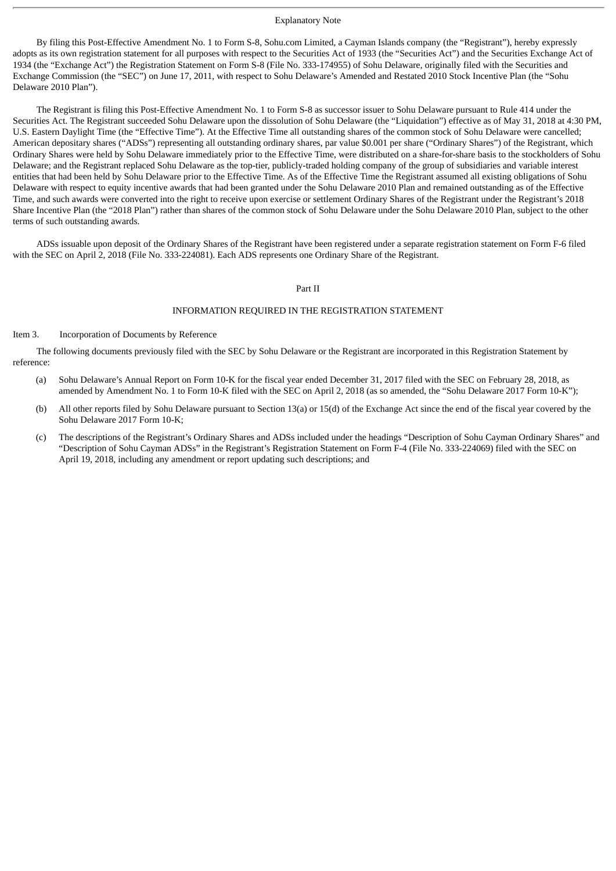#### Explanatory Note

By filing this Post-Effective Amendment No. 1 to Form S-8, Sohu.com Limited, a Cayman Islands company (the "Registrant"), hereby expressly adopts as its own registration statement for all purposes with respect to the Securities Act of 1933 (the "Securities Act") and the Securities Exchange Act of 1934 (the "Exchange Act") the Registration Statement on Form S-8 (File No. 333-174955) of Sohu Delaware, originally filed with the Securities and Exchange Commission (the "SEC") on June 17, 2011, with respect to Sohu Delaware's Amended and Restated 2010 Stock Incentive Plan (the "Sohu Delaware 2010 Plan").

The Registrant is filing this Post-Effective Amendment No. 1 to Form S-8 as successor issuer to Sohu Delaware pursuant to Rule 414 under the Securities Act. The Registrant succeeded Sohu Delaware upon the dissolution of Sohu Delaware (the "Liquidation") effective as of May 31, 2018 at 4:30 PM, U.S. Eastern Daylight Time (the "Effective Time"). At the Effective Time all outstanding shares of the common stock of Sohu Delaware were cancelled; American depositary shares ("ADSs") representing all outstanding ordinary shares, par value \$0.001 per share ("Ordinary Shares") of the Registrant, which Ordinary Shares were held by Sohu Delaware immediately prior to the Effective Time, were distributed on a share-for-share basis to the stockholders of Sohu Delaware; and the Registrant replaced Sohu Delaware as the top-tier, publicly-traded holding company of the group of subsidiaries and variable interest entities that had been held by Sohu Delaware prior to the Effective Time. As of the Effective Time the Registrant assumed all existing obligations of Sohu Delaware with respect to equity incentive awards that had been granted under the Sohu Delaware 2010 Plan and remained outstanding as of the Effective Time, and such awards were converted into the right to receive upon exercise or settlement Ordinary Shares of the Registrant under the Registrant's 2018 Share Incentive Plan (the "2018 Plan") rather than shares of the common stock of Sohu Delaware under the Sohu Delaware 2010 Plan, subject to the other terms of such outstanding awards.

ADSs issuable upon deposit of the Ordinary Shares of the Registrant have been registered under a separate registration statement on Form F-6 filed with the SEC on April 2, 2018 (File No. 333-224081). Each ADS represents one Ordinary Share of the Registrant.

#### Part II

#### INFORMATION REQUIRED IN THE REGISTRATION STATEMENT

#### Item 3. Incorporation of Documents by Reference

The following documents previously filed with the SEC by Sohu Delaware or the Registrant are incorporated in this Registration Statement by reference:

- (a) Sohu Delaware's Annual Report on Form 10-K for the fiscal year ended December 31, 2017 filed with the SEC on February 28, 2018, as amended by Amendment No. 1 to Form 10-K filed with the SEC on April 2, 2018 (as so amended, the "Sohu Delaware 2017 Form 10-K");
- (b) All other reports filed by Sohu Delaware pursuant to Section 13(a) or 15(d) of the Exchange Act since the end of the fiscal year covered by the Sohu Delaware 2017 Form 10-K;
- (c) The descriptions of the Registrant's Ordinary Shares and ADSs included under the headings "Description of Sohu Cayman Ordinary Shares" and "Description of Sohu Cayman ADSs" in the Registrant's Registration Statement on Form F-4 (File No. 333-224069) filed with the SEC on April 19, 2018, including any amendment or report updating such descriptions; and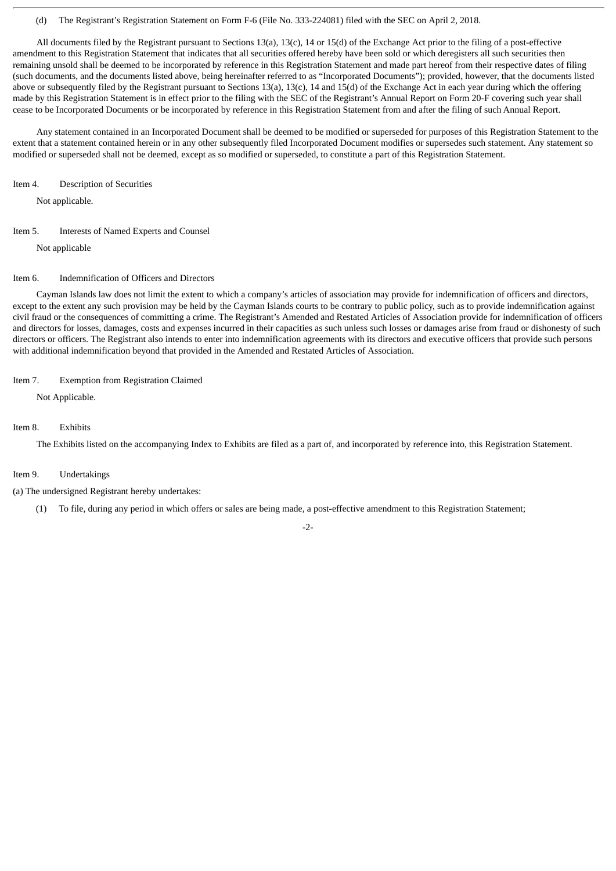#### (d) The Registrant's Registration Statement on Form F-6 (File No. 333-224081) filed with the SEC on April 2, 2018.

All documents filed by the Registrant pursuant to Sections 13(a), 13(c), 14 or 15(d) of the Exchange Act prior to the filing of a post-effective amendment to this Registration Statement that indicates that all securities offered hereby have been sold or which deregisters all such securities then remaining unsold shall be deemed to be incorporated by reference in this Registration Statement and made part hereof from their respective dates of filing (such documents, and the documents listed above, being hereinafter referred to as "Incorporated Documents"); provided, however, that the documents listed above or subsequently filed by the Registrant pursuant to Sections 13(a), 13(c), 14 and 15(d) of the Exchange Act in each year during which the offering made by this Registration Statement is in effect prior to the filing with the SEC of the Registrant's Annual Report on Form 20-F covering such year shall cease to be Incorporated Documents or be incorporated by reference in this Registration Statement from and after the filing of such Annual Report.

Any statement contained in an Incorporated Document shall be deemed to be modified or superseded for purposes of this Registration Statement to the extent that a statement contained herein or in any other subsequently filed Incorporated Document modifies or supersedes such statement. Any statement so modified or superseded shall not be deemed, except as so modified or superseded, to constitute a part of this Registration Statement.

Item 4. Description of Securities

Not applicable.

#### Item 5. Interests of Named Experts and Counsel

Not applicable

#### Item 6. Indemnification of Officers and Directors

Cayman Islands law does not limit the extent to which a company's articles of association may provide for indemnification of officers and directors, except to the extent any such provision may be held by the Cayman Islands courts to be contrary to public policy, such as to provide indemnification against civil fraud or the consequences of committing a crime. The Registrant's Amended and Restated Articles of Association provide for indemnification of officers and directors for losses, damages, costs and expenses incurred in their capacities as such unless such losses or damages arise from fraud or dishonesty of such directors or officers. The Registrant also intends to enter into indemnification agreements with its directors and executive officers that provide such persons with additional indemnification beyond that provided in the Amended and Restated Articles of Association.

#### Item 7. Exemption from Registration Claimed

Not Applicable.

#### Item 8. Exhibits

The Exhibits listed on the accompanying Index to Exhibits are filed as a part of, and incorporated by reference into, this Registration Statement.

#### Item 9. Undertakings

(a) The undersigned Registrant hereby undertakes:

(1) To file, during any period in which offers or sales are being made, a post-effective amendment to this Registration Statement;

#### -2-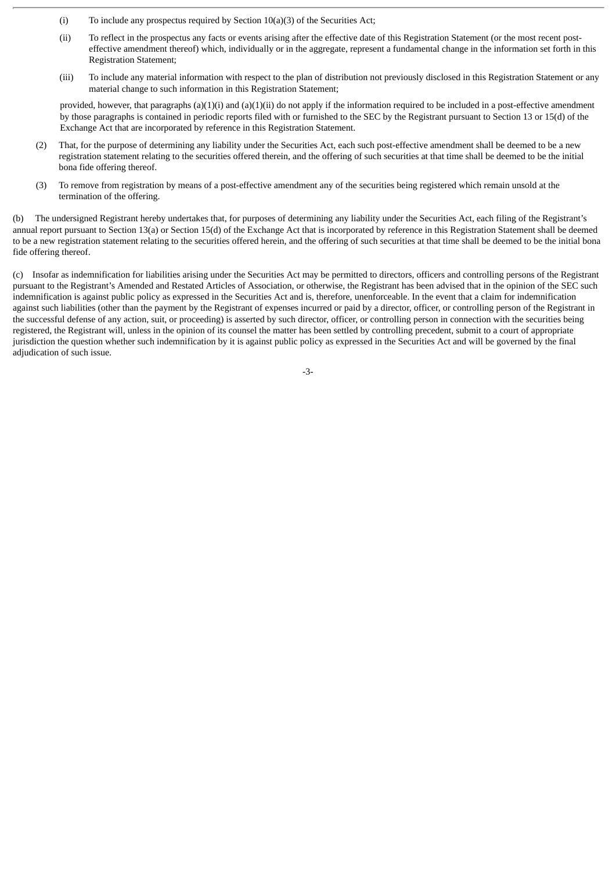- (i) To include any prospectus required by Section 10(a)(3) of the Securities Act;
- (ii) To reflect in the prospectus any facts or events arising after the effective date of this Registration Statement (or the most recent posteffective amendment thereof) which, individually or in the aggregate, represent a fundamental change in the information set forth in this Registration Statement;
- (iii) To include any material information with respect to the plan of distribution not previously disclosed in this Registration Statement or any material change to such information in this Registration Statement;

provided, however, that paragraphs  $(a)(1)(i)$  and  $(a)(1)(ii)$  do not apply if the information required to be included in a post-effective amendment by those paragraphs is contained in periodic reports filed with or furnished to the SEC by the Registrant pursuant to Section 13 or 15(d) of the Exchange Act that are incorporated by reference in this Registration Statement.

- (2) That, for the purpose of determining any liability under the Securities Act, each such post-effective amendment shall be deemed to be a new registration statement relating to the securities offered therein, and the offering of such securities at that time shall be deemed to be the initial bona fide offering thereof.
- (3) To remove from registration by means of a post-effective amendment any of the securities being registered which remain unsold at the termination of the offering.

(b) The undersigned Registrant hereby undertakes that, for purposes of determining any liability under the Securities Act, each filing of the Registrant's annual report pursuant to Section 13(a) or Section 15(d) of the Exchange Act that is incorporated by reference in this Registration Statement shall be deemed to be a new registration statement relating to the securities offered herein, and the offering of such securities at that time shall be deemed to be the initial bona fide offering thereof.

(c) Insofar as indemnification for liabilities arising under the Securities Act may be permitted to directors, officers and controlling persons of the Registrant pursuant to the Registrant's Amended and Restated Articles of Association, or otherwise, the Registrant has been advised that in the opinion of the SEC such indemnification is against public policy as expressed in the Securities Act and is, therefore, unenforceable. In the event that a claim for indemnification against such liabilities (other than the payment by the Registrant of expenses incurred or paid by a director, officer, or controlling person of the Registrant in the successful defense of any action, suit, or proceeding) is asserted by such director, officer, or controlling person in connection with the securities being registered, the Registrant will, unless in the opinion of its counsel the matter has been settled by controlling precedent, submit to a court of appropriate jurisdiction the question whether such indemnification by it is against public policy as expressed in the Securities Act and will be governed by the final adjudication of such issue.

-3-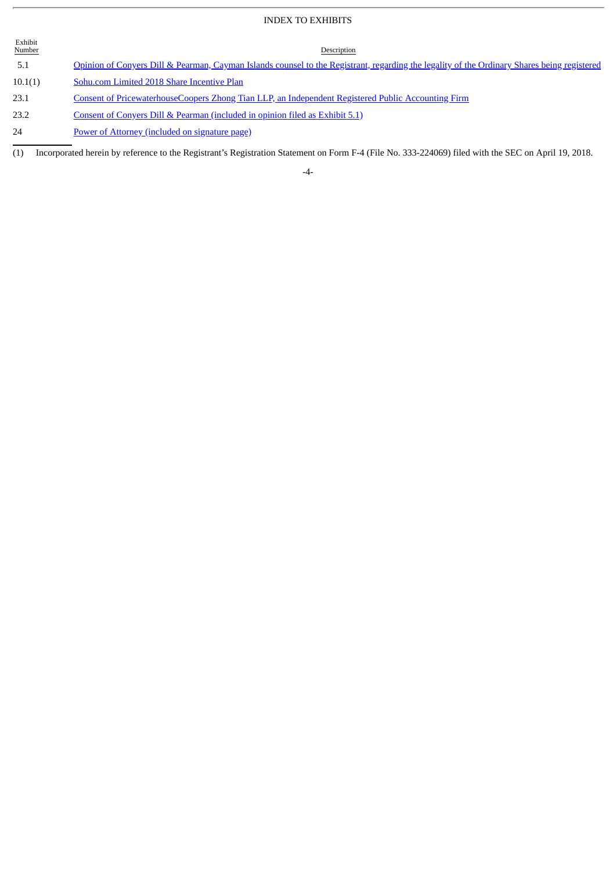### INDEX TO EXHIBITS

| Exhibit<br><b>Number</b> | Description                                                                                                                                 |
|--------------------------|---------------------------------------------------------------------------------------------------------------------------------------------|
| 5.1                      | Opinion of Conyers Dill & Pearman, Cayman Islands counsel to the Registrant, regarding the legality of the Ordinary Shares being registered |
| 10.1(1)                  | Sohu.com Limited 2018 Share Incentive Plan                                                                                                  |
| 23.1                     | Consent of PricewaterhouseCoopers Zhong Tian LLP, an Independent Registered Public Accounting Firm                                          |
| 23.2                     | Consent of Convers Dill & Pearman (included in opinion filed as Exhibit 5.1)                                                                |
|                          |                                                                                                                                             |

24 **Power of Attorney [\(included](#page-6-0) on signature page)** 

(1) Incorporated herein by reference to the Registrant's Registration Statement on Form F-4 (File No. 333-224069) filed with the SEC on April 19, 2018.

-4-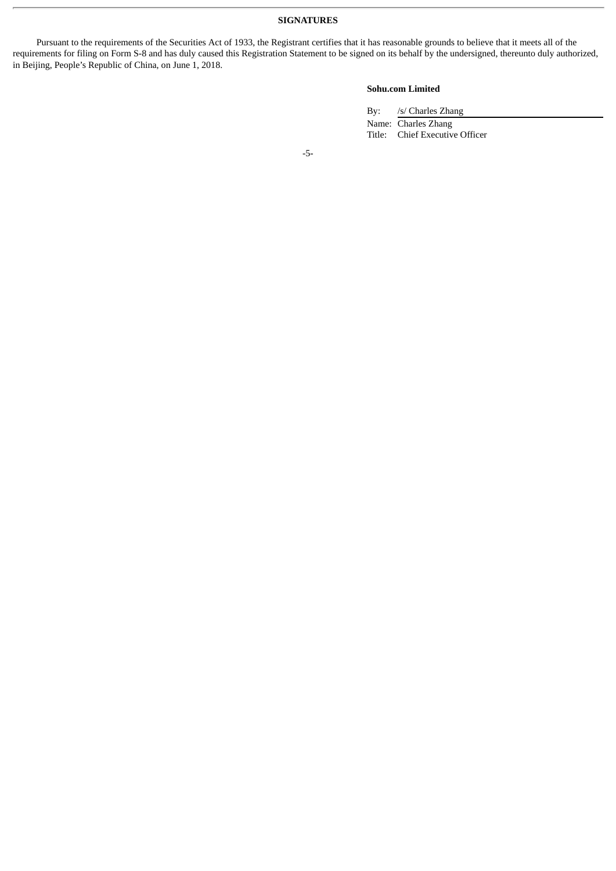Pursuant to the requirements of the Securities Act of 1933, the Registrant certifies that it has reasonable grounds to believe that it meets all of the requirements for filing on Form S-8 and has duly caused this Registration Statement to be signed on its behalf by the undersigned, thereunto duly authorized, in Beijing, People's Republic of China, on June 1, 2018.

#### **Sohu.com Limited**

By: /s/ Charles Zhang

Name: Charles Zhang Title: Chief Executive Officer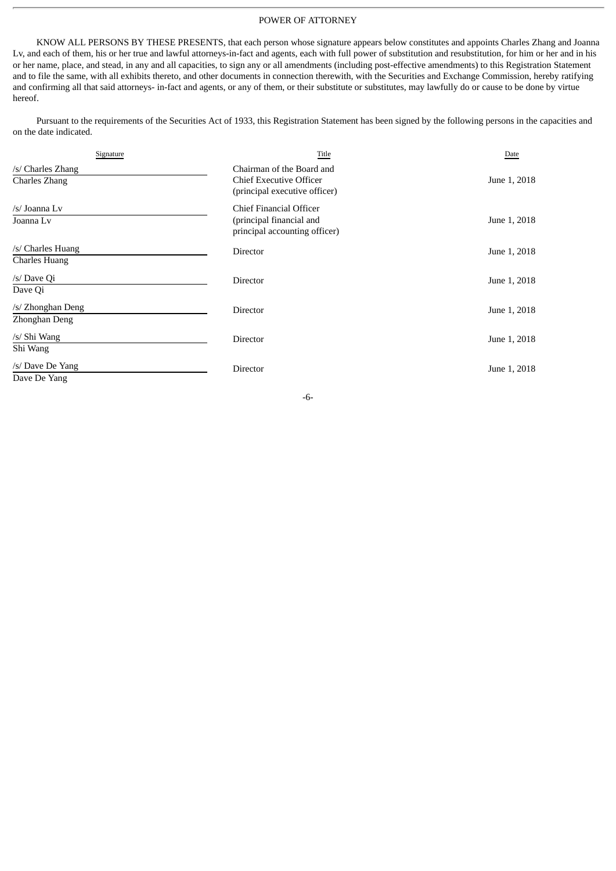#### POWER OF ATTORNEY

<span id="page-6-0"></span>KNOW ALL PERSONS BY THESE PRESENTS, that each person whose signature appears below constitutes and appoints Charles Zhang and Joanna Lv, and each of them, his or her true and lawful attorneys-in-fact and agents, each with full power of substitution and resubstitution, for him or her and in his or her name, place, and stead, in any and all capacities, to sign any or all amendments (including post-effective amendments) to this Registration Statement and to file the same, with all exhibits thereto, and other documents in connection therewith, with the Securities and Exchange Commission, hereby ratifying and confirming all that said attorneys- in-fact and agents, or any of them, or their substitute or substitutes, may lawfully do or cause to be done by virtue hereof.

Pursuant to the requirements of the Securities Act of 1933, this Registration Statement has been signed by the following persons in the capacities and on the date indicated.

| Signature                          | Title                                                                                        | Date         |
|------------------------------------|----------------------------------------------------------------------------------------------|--------------|
| /s/ Charles Zhang<br>Charles Zhang | Chairman of the Board and<br><b>Chief Executive Officer</b><br>(principal executive officer) | June 1, 2018 |
| /s/ Joanna Lv<br>Joanna Lv         | Chief Financial Officer<br>(principal financial and<br>principal accounting officer)         | June 1, 2018 |
| /s/ Charles Huang<br>Charles Huang | Director                                                                                     | June 1, 2018 |
| /s/ Dave Qi<br>Dave Qi             | Director                                                                                     | June 1, 2018 |
| /s/ Zhonghan Deng<br>Zhonghan Deng | <b>Director</b>                                                                              | June 1, 2018 |
| /s/ Shi Wang<br>Shi Wang           | Director                                                                                     | June 1, 2018 |
| /s/ Dave De Yang<br>Dave De Yang   | Director                                                                                     | June 1, 2018 |

-6-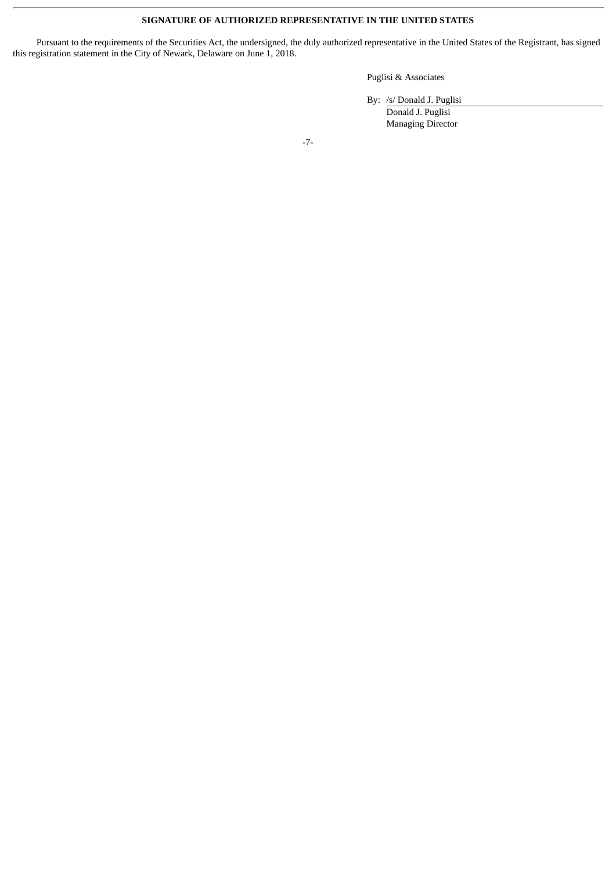#### **SIGNATURE OF AUTHORIZED REPRESENTATIVE IN THE UNITED STATES**

Pursuant to the requirements of the Securities Act, the undersigned, the duly authorized representative in the United States of the Registrant, has signed this registration statement in the City of Newark, Delaware on June 1, 2018.

#### Puglisi & Associates

By: /s/ Donald J. Puglisi

Donald J. Puglisi Managing Director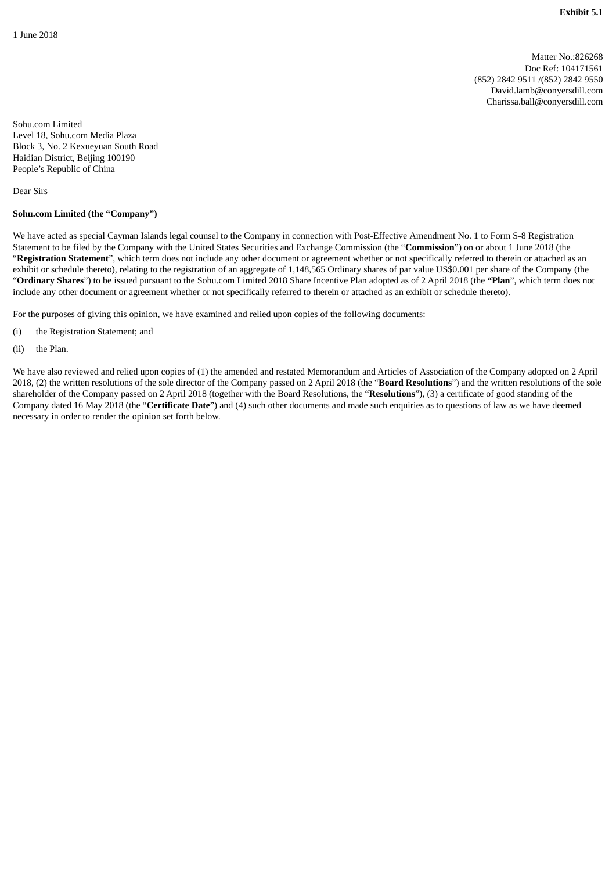Matter No.:826268 Doc Ref: 104171561 (852) 2842 9511 /(852) 2842 9550 David.lamb@conyersdill.com Charissa.ball@conyersdill.com

Sohu.com Limited Level 18, Sohu.com Media Plaza Block 3, No. 2 Kexueyuan South Road Haidian District, Beijing 100190 People's Republic of China

Dear Sirs

#### **Sohu.com Limited (the "Company")**

We have acted as special Cayman Islands legal counsel to the Company in connection with Post-Effective Amendment No. 1 to Form S-8 Registration Statement to be filed by the Company with the United States Securities and Exchange Commission (the "**Commission**") on or about 1 June 2018 (the "**Registration Statement**", which term does not include any other document or agreement whether or not specifically referred to therein or attached as an exhibit or schedule thereto), relating to the registration of an aggregate of 1,148,565 Ordinary shares of par value US\$0.001 per share of the Company (the "**Ordinary Shares**") to be issued pursuant to the Sohu.com Limited 2018 Share Incentive Plan adopted as of 2 April 2018 (the **"Plan**", which term does not include any other document or agreement whether or not specifically referred to therein or attached as an exhibit or schedule thereto).

For the purposes of giving this opinion, we have examined and relied upon copies of the following documents:

- (i) the Registration Statement; and
- (ii) the Plan.

We have also reviewed and relied upon copies of (1) the amended and restated Memorandum and Articles of Association of the Company adopted on 2 April 2018, (2) the written resolutions of the sole director of the Company passed on 2 April 2018 (the "**Board Resolutions**") and the written resolutions of the sole shareholder of the Company passed on 2 April 2018 (together with the Board Resolutions, the "**Resolutions**"), (3) a certificate of good standing of the Company dated 16 May 2018 (the "**Certificate Date**") and (4) such other documents and made such enquiries as to questions of law as we have deemed necessary in order to render the opinion set forth below.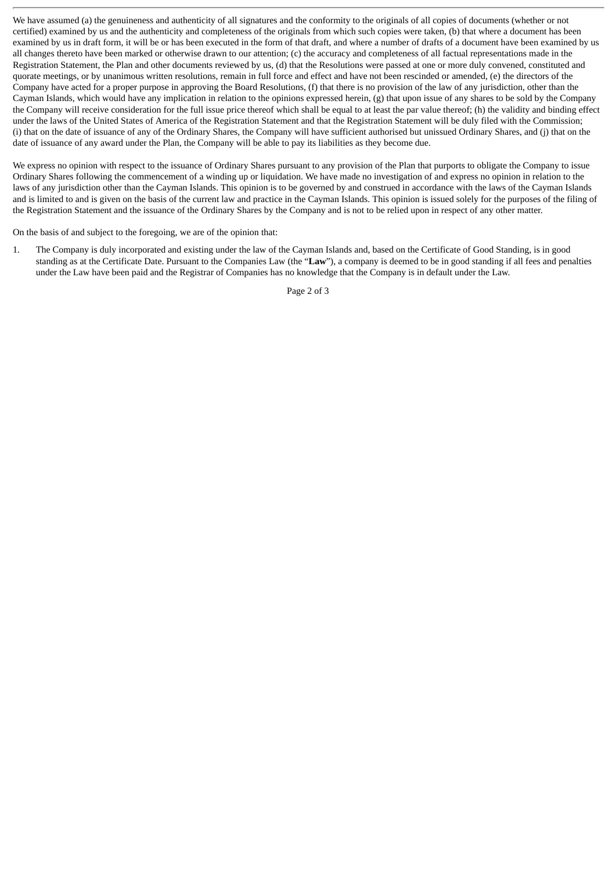We have assumed (a) the genuineness and authenticity of all signatures and the conformity to the originals of all copies of documents (whether or not certified) examined by us and the authenticity and completeness of the originals from which such copies were taken, (b) that where a document has been examined by us in draft form, it will be or has been executed in the form of that draft, and where a number of drafts of a document have been examined by us all changes thereto have been marked or otherwise drawn to our attention; (c) the accuracy and completeness of all factual representations made in the Registration Statement, the Plan and other documents reviewed by us, (d) that the Resolutions were passed at one or more duly convened, constituted and quorate meetings, or by unanimous written resolutions, remain in full force and effect and have not been rescinded or amended, (e) the directors of the Company have acted for a proper purpose in approving the Board Resolutions, (f) that there is no provision of the law of any jurisdiction, other than the Cayman Islands, which would have any implication in relation to the opinions expressed herein, (g) that upon issue of any shares to be sold by the Company the Company will receive consideration for the full issue price thereof which shall be equal to at least the par value thereof; (h) the validity and binding effect under the laws of the United States of America of the Registration Statement and that the Registration Statement will be duly filed with the Commission; (i) that on the date of issuance of any of the Ordinary Shares, the Company will have sufficient authorised but unissued Ordinary Shares, and (j) that on the date of issuance of any award under the Plan, the Company will be able to pay its liabilities as they become due.

We express no opinion with respect to the issuance of Ordinary Shares pursuant to any provision of the Plan that purports to obligate the Company to issue Ordinary Shares following the commencement of a winding up or liquidation. We have made no investigation of and express no opinion in relation to the laws of any jurisdiction other than the Cayman Islands. This opinion is to be governed by and construed in accordance with the laws of the Cayman Islands and is limited to and is given on the basis of the current law and practice in the Cayman Islands. This opinion is issued solely for the purposes of the filing of the Registration Statement and the issuance of the Ordinary Shares by the Company and is not to be relied upon in respect of any other matter.

On the basis of and subject to the foregoing, we are of the opinion that:

1. The Company is duly incorporated and existing under the law of the Cayman Islands and, based on the Certificate of Good Standing, is in good standing as at the Certificate Date. Pursuant to the Companies Law (the "**Law**"), a company is deemed to be in good standing if all fees and penalties under the Law have been paid and the Registrar of Companies has no knowledge that the Company is in default under the Law.

Page 2 of 3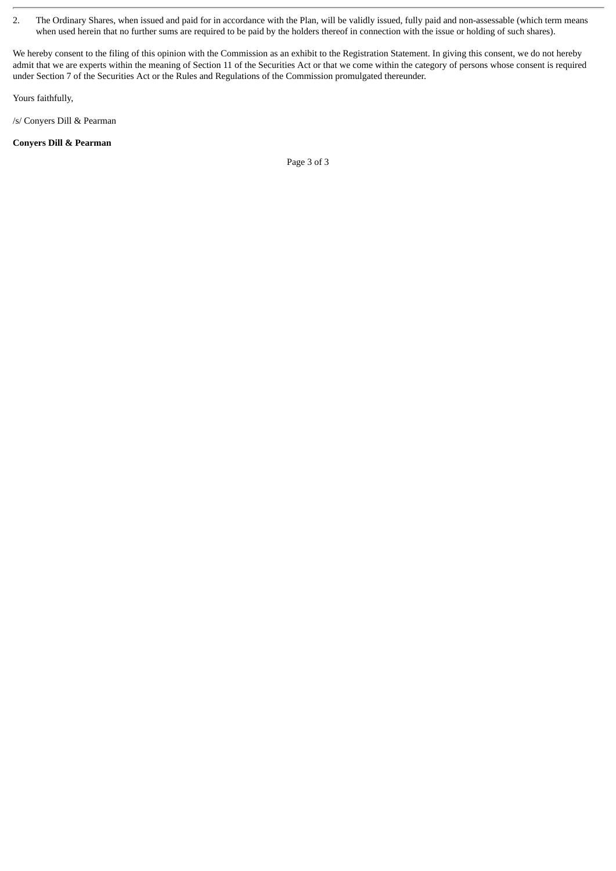2. The Ordinary Shares, when issued and paid for in accordance with the Plan, will be validly issued, fully paid and non-assessable (which term means when used herein that no further sums are required to be paid by the holders thereof in connection with the issue or holding of such shares).

We hereby consent to the filing of this opinion with the Commission as an exhibit to the Registration Statement. In giving this consent, we do not hereby admit that we are experts within the meaning of Section 11 of the Securities Act or that we come within the category of persons whose consent is required under Section 7 of the Securities Act or the Rules and Regulations of the Commission promulgated thereunder.

Yours faithfully,

/s/ Conyers Dill & Pearman

#### **Conyers Dill & Pearman**

Page 3 of 3